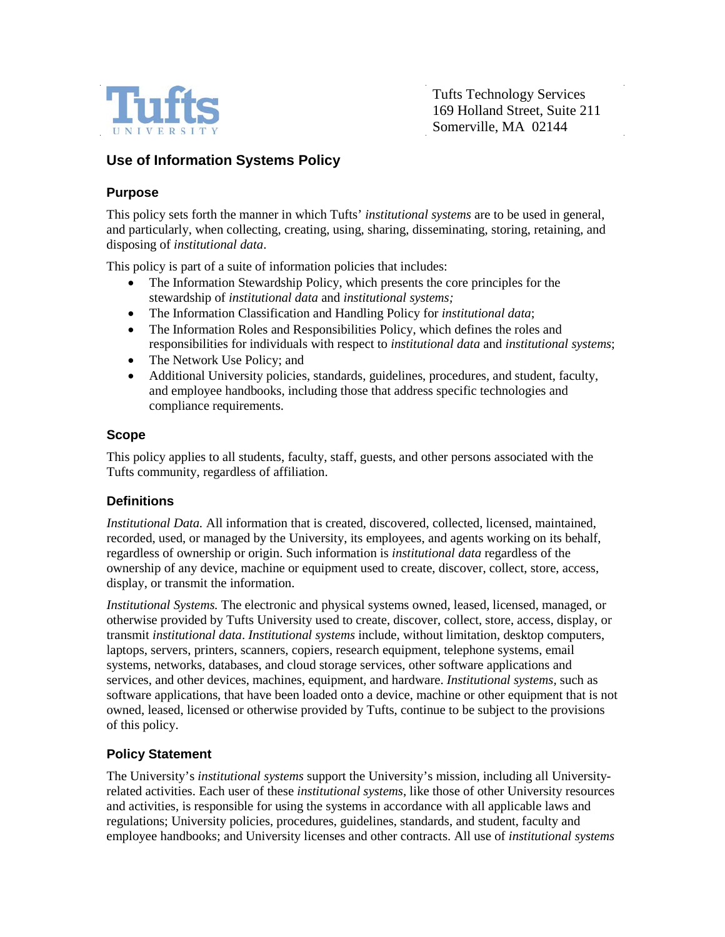

Tufts Technology Services 169 Holland Street, Suite 211 Somerville, MA 02144

# **Use of Information Systems Policy**

### **Purpose**

This policy sets forth the manner in which Tufts' *institutional systems* are to be used in general, and particularly, when collecting, creating, using, sharing, disseminating, storing, retaining, and disposing of *institutional data*.

This policy is part of a suite of information policies that includes:

- The Information Stewardship Policy, which presents the core principles for the stewardship of *institutional data* and *institutional systems;*
- The Information Classification and Handling Policy for *institutional data*;
- The Information Roles and Responsibilities Policy, which defines the roles and responsibilities for individuals with respect to *institutional data* and *institutional systems*;
- The Network Use Policy; and
- Additional University policies, standards, guidelines, procedures, and student, faculty, and employee handbooks, including those that address specific technologies and compliance requirements.

#### **Scope**

This policy applies to all students, faculty, staff, guests, and other persons associated with the Tufts community, regardless of affiliation.

#### **Definitions**

*Institutional Data.* All information that is created, discovered, collected, licensed, maintained, recorded, used, or managed by the University, its employees, and agents working on its behalf, regardless of ownership or origin. Such information is *institutional data* regardless of the ownership of any device, machine or equipment used to create, discover, collect, store, access, display, or transmit the information.

*Institutional Systems.* The electronic and physical systems owned, leased, licensed, managed, or otherwise provided by Tufts University used to create, discover, collect, store, access, display, or transmit *institutional data*. *Institutional systems* include, without limitation, desktop computers, laptops, servers, printers, scanners, copiers, research equipment, telephone systems, email systems, networks, databases, and cloud storage services, other software applications and services, and other devices, machines, equipment, and hardware. *Institutional systems,* such as software applications, that have been loaded onto a device, machine or other equipment that is not owned, leased, licensed or otherwise provided by Tufts, continue to be subject to the provisions of this policy.

### **Policy Statement**

The University's *institutional systems* support the University's mission, including all Universityrelated activities. Each user of these *institutional systems*, like those of other University resources and activities, is responsible for using the systems in accordance with all applicable laws and regulations; University policies, procedures, guidelines, standards, and student, faculty and employee handbooks; and University licenses and other contracts. All use of *institutional systems*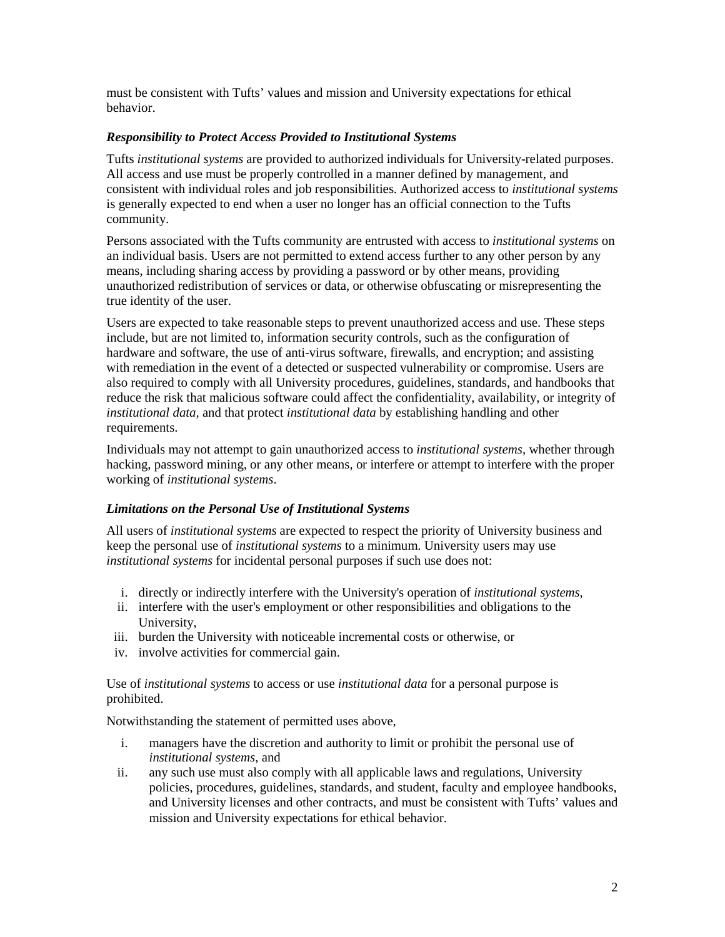must be consistent with Tufts' values and mission and University expectations for ethical behavior.

#### *Responsibility to Protect Access Provided to Institutional Systems*

Tufts *institutional systems* are provided to authorized individuals for University-related purposes. All access and use must be properly controlled in a manner defined by management, and consistent with individual roles and job responsibilities. Authorized access to *institutional systems*  is generally expected to end when a user no longer has an official connection to the Tufts community.

Persons associated with the Tufts community are entrusted with access to *institutional systems* on an individual basis. Users are not permitted to extend access further to any other person by any means, including sharing access by providing a password or by other means, providing unauthorized redistribution of services or data, or otherwise obfuscating or misrepresenting the true identity of the user.

Users are expected to take reasonable steps to prevent unauthorized access and use. These steps include, but are not limited to, information security controls, such as the configuration of hardware and software, the use of anti-virus software, firewalls, and encryption; and assisting with remediation in the event of a detected or suspected vulnerability or compromise. Users are also required to comply with all University procedures, guidelines, standards, and handbooks that reduce the risk that malicious software could affect the confidentiality, availability, or integrity of *institutional data,* and that protect *institutional data* by establishing handling and other requirements.

Individuals may not attempt to gain unauthorized access to *institutional systems*, whether through hacking, password mining, or any other means, or interfere or attempt to interfere with the proper working of *institutional systems*.

### *Limitations on the Personal Use of Institutional Systems*

All users of *institutional systems* are expected to respect the priority of University business and keep the personal use of *institutional systems* to a minimum. University users may use *institutional systems* for incidental personal purposes if such use does not:

- i. directly or indirectly interfere with the University's operation of *institutional systems*,
- ii. interfere with the user's employment or other responsibilities and obligations to the University,
- iii. burden the University with noticeable incremental costs or otherwise, or
- iv. involve activities for commercial gain.

Use of *institutional systems* to access or use *institutional data* for a personal purpose is prohibited.

Notwithstanding the statement of permitted uses above,

- i. managers have the discretion and authority to limit or prohibit the personal use of *institutional systems*, and
- ii. any such use must also comply with all applicable laws and regulations, University policies, procedures, guidelines, standards, and student, faculty and employee handbooks, and University licenses and other contracts, and must be consistent with Tufts' values and mission and University expectations for ethical behavior.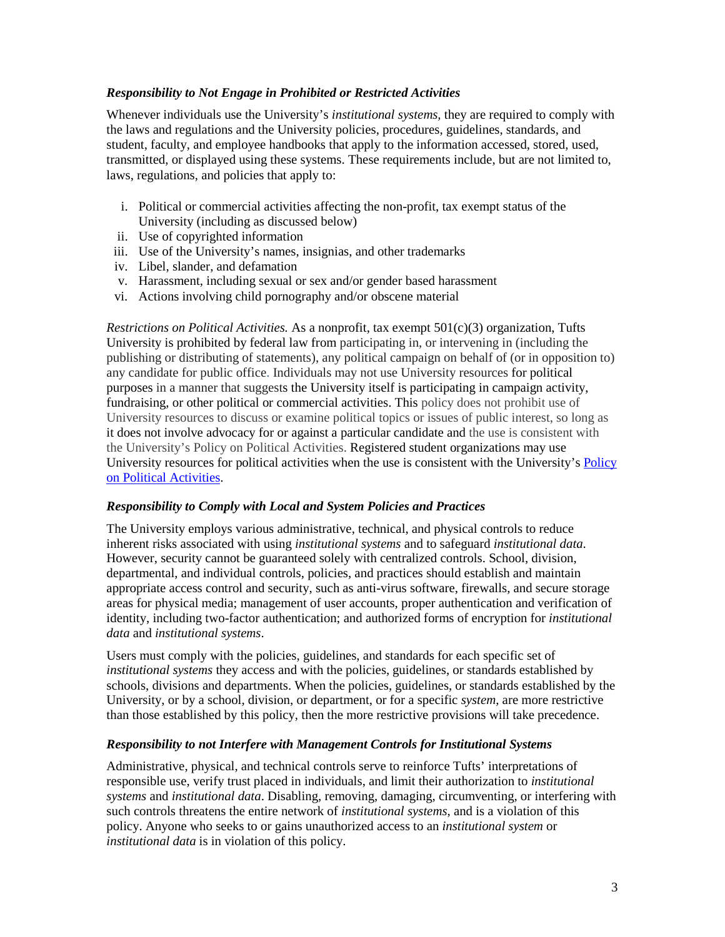#### *Responsibility to Not Engage in Prohibited or Restricted Activities*

Whenever individuals use the University's *institutional systems,* they are required to comply with the laws and regulations and the University policies, procedures, guidelines, standards, and student, faculty, and employee handbooks that apply to the information accessed, stored, used, transmitted, or displayed using these systems. These requirements include, but are not limited to, laws, regulations, and policies that apply to:

- i. Political or commercial activities affecting the non-profit, tax exempt status of the University (including as discussed below)
- ii. Use of copyrighted information
- iii. Use of the University's names, insignias, and other trademarks
- iv. Libel, slander, and defamation
- v. Harassment, including sexual or sex and/or gender based harassment
- vi. Actions involving child pornography and/or obscene material

*Restrictions on Political Activities.* As a nonprofit, tax exempt 501(c)(3) organization, Tufts University is prohibited by federal law from participating in, or intervening in (including the publishing or distributing of statements), any political campaign on behalf of (or in opposition to) any candidate for public office. Individuals may not use University resources for political purposes in a manner that suggests the University itself is participating in campaign activity, fundraising, or other political or commercial activities. This policy does not prohibit use of University resources to discuss or examine political topics or issues of public interest, so long as it does not involve advocacy for or against a particular candidate and the use is consistent with the University's Policy on Political Activities. Registered student organizations may use University resources for political activities when the use is consistent with the University's Policy [on Political Activities.](http://legal.tufts.edu/policy-on-political-activities/)

#### *Responsibility to Comply with Local and System Policies and Practices*

The University employs various administrative, technical, and physical controls to reduce inherent risks associated with using *institutional systems* and to safeguard *institutional data*. However, security cannot be guaranteed solely with centralized controls. School, division, departmental, and individual controls, policies, and practices should establish and maintain appropriate access control and security, such as anti-virus software, firewalls, and secure storage areas for physical media; management of user accounts, proper authentication and verification of identity, including two-factor authentication; and authorized forms of encryption for *institutional data* and *institutional systems*.

Users must comply with the policies, guidelines, and standards for each specific set of *institutional systems* they access and with the policies, guidelines, or standards established by schools, divisions and departments. When the policies, guidelines, or standards established by the University, or by a school, division, or department, or for a specific *system*, are more restrictive than those established by this policy, then the more restrictive provisions will take precedence.

#### *Responsibility to not Interfere with Management Controls for Institutional Systems*

Administrative, physical, and technical controls serve to reinforce Tufts' interpretations of responsible use, verify trust placed in individuals, and limit their authorization to *institutional systems* and *institutional data*. Disabling, removing, damaging, circumventing, or interfering with such controls threatens the entire network of *institutional systems*, and is a violation of this policy. Anyone who seeks to or gains unauthorized access to an *institutional system* or *institutional data* is in violation of this policy.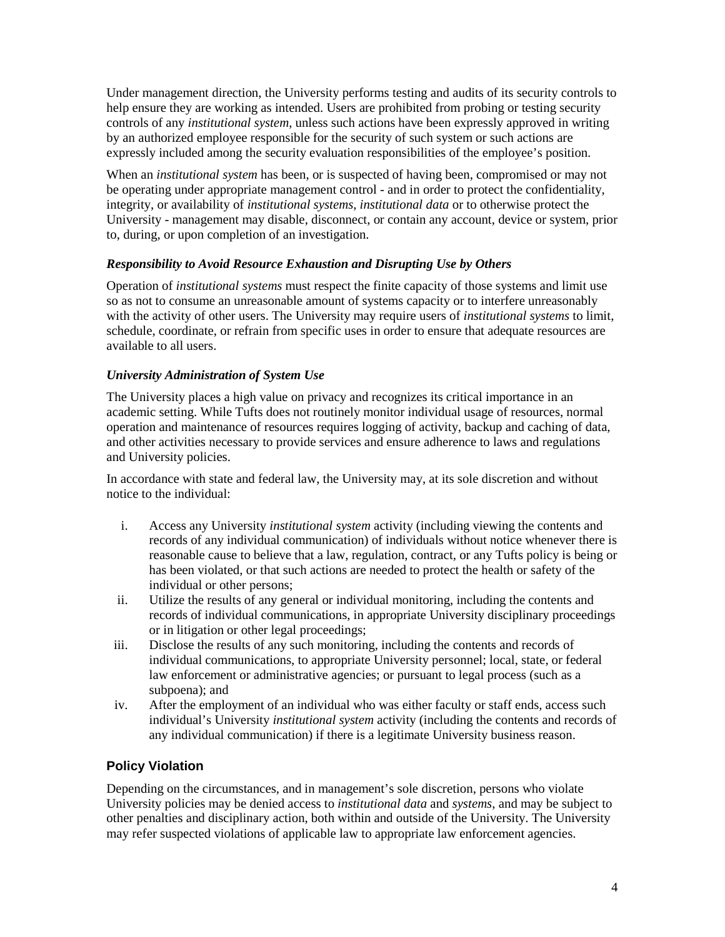Under management direction, the University performs testing and audits of its security controls to help ensure they are working as intended. Users are prohibited from probing or testing security controls of any *institutional system*, unless such actions have been expressly approved in writing by an authorized employee responsible for the security of such system or such actions are expressly included among the security evaluation responsibilities of the employee's position.

When an *institutional system* has been, or is suspected of having been, compromised or may not be operating under appropriate management control - and in order to protect the confidentiality, integrity, or availability of *institutional systems*, *institutional data* or to otherwise protect the University - management may disable, disconnect, or contain any account, device or system, prior to, during, or upon completion of an investigation.

#### *Responsibility to Avoid Resource Exhaustion and Disrupting Use by Others*

Operation of *institutional systems* must respect the finite capacity of those systems and limit use so as not to consume an unreasonable amount of systems capacity or to interfere unreasonably with the activity of other users. The University may require users of *institutional systems* to limit, schedule, coordinate, or refrain from specific uses in order to ensure that adequate resources are available to all users.

#### *University Administration of System Use*

The University places a high value on privacy and recognizes its critical importance in an academic setting. While Tufts does not routinely monitor individual usage of resources, normal operation and maintenance of resources requires logging of activity, backup and caching of data, and other activities necessary to provide services and ensure adherence to laws and regulations and University policies.

In accordance with state and federal law, the University may, at its sole discretion and without notice to the individual:

- i. Access any University *institutional system* activity (including viewing the contents and records of any individual communication) of individuals without notice whenever there is reasonable cause to believe that a law, regulation, contract, or any Tufts policy is being or has been violated, or that such actions are needed to protect the health or safety of the individual or other persons;
- ii. Utilize the results of any general or individual monitoring, including the contents and records of individual communications, in appropriate University disciplinary proceedings or in litigation or other legal proceedings;
- iii. Disclose the results of any such monitoring, including the contents and records of individual communications, to appropriate University personnel; local, state, or federal law enforcement or administrative agencies; or pursuant to legal process (such as a subpoena); and
- iv. After the employment of an individual who was either faculty or staff ends, access such individual's University *institutional system* activity (including the contents and records of any individual communication) if there is a legitimate University business reason.

### **Policy Violation**

Depending on the circumstances, and in management's sole discretion, persons who violate University policies may be denied access to *institutional data* and *systems*, and may be subject to other penalties and disciplinary action, both within and outside of the University. The University may refer suspected violations of applicable law to appropriate law enforcement agencies.